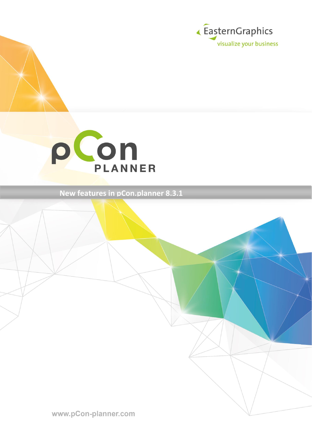



**New features in pCon.planner 8.3.1**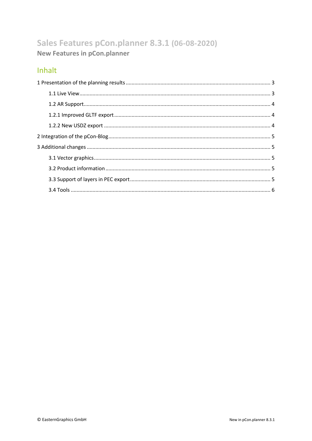# Sales Features pCon.planner 8.3.1 (06-08-2020) **New Features in pCon.planner**

### Inhalt

<span id="page-1-0"></span>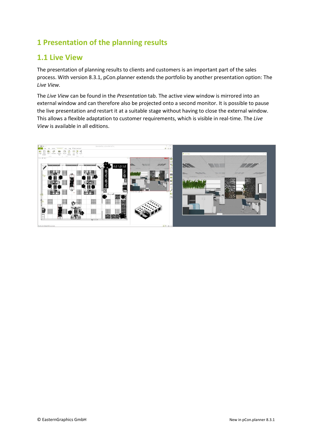## **1 Presentation of the planning results**

#### <span id="page-2-0"></span>**1.1 Live View**

The presentation of planning results to clients and customers is an important part of the sales process. With version 8.3.1, pCon.planner extends the portfolio by another presentation option: The *Live View.*

The *Live View* can be found in the *Presentation* tab. The active view window is mirrored into an external window and can therefore also be projected onto a second monitor. It is possible to pause the live presentation and restart it at a suitable stage without having to close the external window. This allows a flexible adaptation to customer requirements, which is visible in real-time. The *Live View* is available in all editions.

<span id="page-2-1"></span>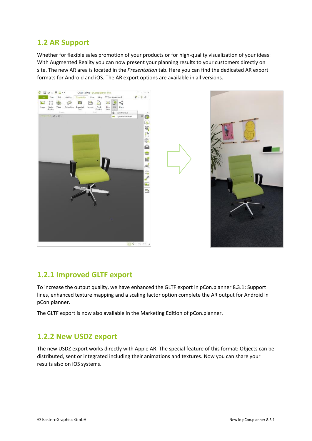#### **1.2 AR Support**

Whether for flexible sales promotion of your products or for high-quality visualization of your ideas: With Augmented Reality you can now present your planning results to your customers directly on site. The new AR area is located in the *Presentation* tab. Here you can find the dedicated AR export formats for Android and iOS. The AR export options are available in all versions.





#### <span id="page-3-0"></span>**1.2.1 Improved GLTF export**

To increase the output quality, we have enhanced the GLTF export in pCon.planner 8.3.1: Support lines, enhanced texture mapping and a scaling factor option complete the AR output for Android in pCon.planner.

The GLTF export is now also available in the Marketing Edition of pCon.planner.

#### <span id="page-3-1"></span>**1.2.2 New USDZ export**

The new USDZ export works directly with Apple AR. The special feature of this format: Objects can be distributed, sent or integrated including their animations and textures. Now you can share your results also on iOS systems.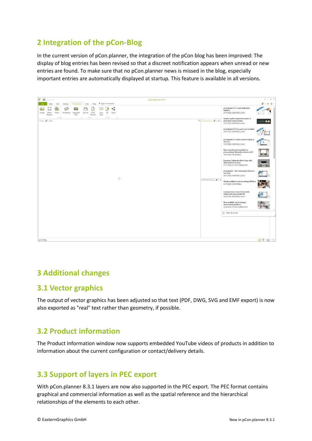### <span id="page-4-0"></span>**2 Integration of the pCon-Blog**

In the current version of pCon.planner, the integration of the pCon blog has been improved: The display of blog entries has been revised so that a discreet notification appears when unread or new entries are found. To make sure that no pCon.planner news is missed in the blog, especially important entries are automatically displayed at startup. This feature is available in all versions.



### <span id="page-4-1"></span>**3 Additional changes**

#### <span id="page-4-2"></span>**3.1 Vector graphics**

The output of vector graphics has been adjusted so that text (PDF, DWG, SVG and EMF export) is now also exported as "real" text rather than geometry, if possible.

### <span id="page-4-3"></span>**3.2 Product information**

The Product Information window now supports embedded YouTube videos of products in addition to information about the current configuration or contact/delivery details.

### <span id="page-4-4"></span>**3.3 Support of layers in PEC export**

With pCon.planner 8.3.1 layers are now also supported in the PEC export. The PEC format contains graphical and commercial information as well as the spatial reference and the hierarchical relationships of the elements to each other.